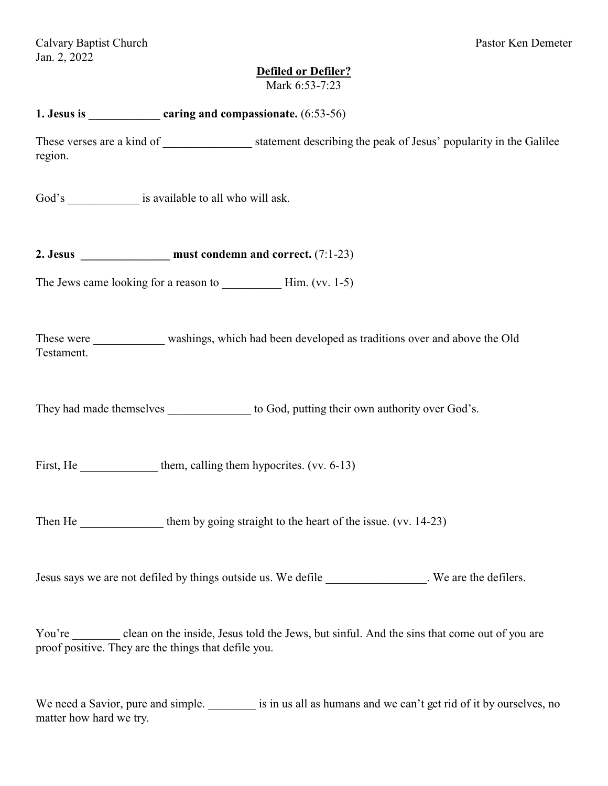# **Defiled or Defiler?**

| Mark 6:53-7:23                                                                                                                                             |
|------------------------------------------------------------------------------------------------------------------------------------------------------------|
|                                                                                                                                                            |
| region.                                                                                                                                                    |
| God's __________________ is available to all who will ask.                                                                                                 |
| 2. Jesus $\frac{1}{2}$ must condemn and correct. (7:1-23)                                                                                                  |
|                                                                                                                                                            |
| These were _____________ washings, which had been developed as traditions over and above the Old<br>Testament.                                             |
| They had made themselves ________________ to God, putting their own authority over God's.                                                                  |
| First, He _______________ them, calling them hypocrites. (vv. 6-13)                                                                                        |
| them by going straight to the heart of the issue. (vv. 14-23)<br>Then He                                                                                   |
| Jesus says we are not defiled by things outside us. We defile _______________. We are the defilers.                                                        |
| You're clean on the inside, Jesus told the Jews, but sinful. And the sins that come out of you are<br>proof positive. They are the things that defile you. |

We need a Savior, pure and simple. \_\_\_\_\_\_\_\_ is in us all as humans and we can't get rid of it by ourselves, no matter how hard we try.